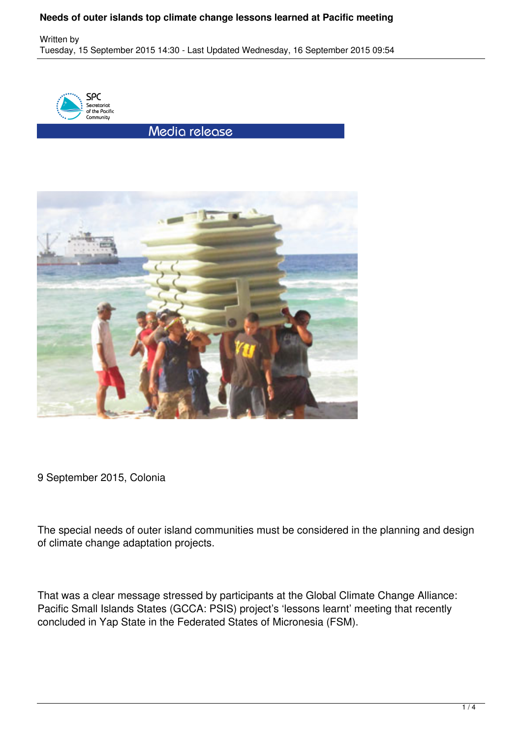Written by Tuesday, 15 September 2015 14:30 - Last Updated Wednesday, 16 September 2015 09:54



Media release



9 September 2015, Colonia

The special needs of outer island communities must be considered in the planning and design of climate change adaptation projects.

That was a clear message stressed by participants at the Global Climate Change Alliance: Pacific Small Islands States (GCCA: PSIS) project's 'lessons learnt' meeting that recently concluded in Yap State in the Federated States of Micronesia (FSM).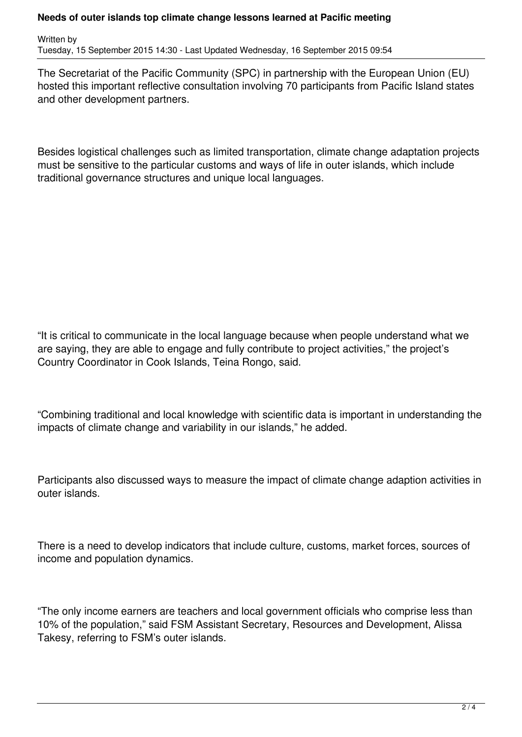Written by Tuesday, 15 September 2015 14:30 - Last Updated Wednesday, 16 September 2015 09:54

The Secretariat of the Pacific Community (SPC) in partnership with the European Union (EU) hosted this important reflective consultation involving 70 participants from Pacific Island states and other development partners.

Besides logistical challenges such as limited transportation, climate change adaptation projects must be sensitive to the particular customs and ways of life in outer islands, which include traditional governance structures and unique local languages.

"It is critical to communicate in the local language because when people understand what we are saying, they are able to engage and fully contribute to project activities," the project's Country Coordinator in Cook Islands, Teina Rongo, said.

"Combining traditional and local knowledge with scientific data is important in understanding the impacts of climate change and variability in our islands," he added.

Participants also discussed ways to measure the impact of climate change adaption activities in outer islands.

There is a need to develop indicators that include culture, customs, market forces, sources of income and population dynamics.

"The only income earners are teachers and local government officials who comprise less than 10% of the population," said FSM Assistant Secretary, Resources and Development, Alissa Takesy, referring to FSM's outer islands.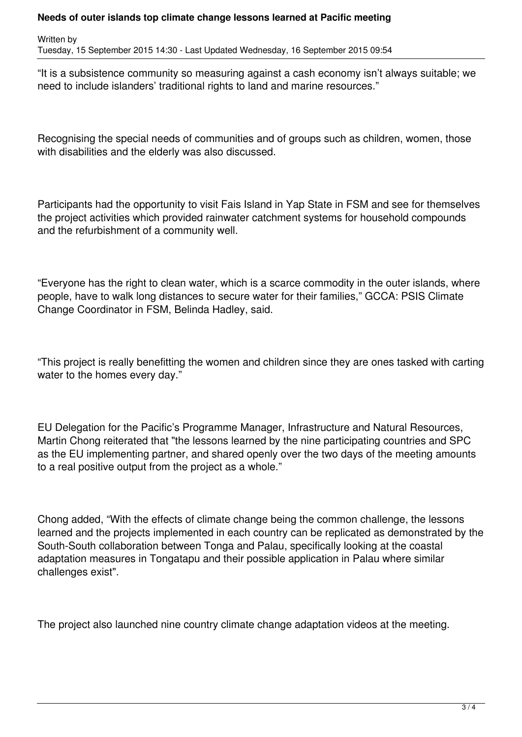Written by Tuesday, 15 September 2015 14:30 - Last Updated Wednesday, 16 September 2015 09:54

"It is a subsistence community so measuring against a cash economy isn't always suitable; we need to include islanders' traditional rights to land and marine resources."

Recognising the special needs of communities and of groups such as children, women, those with disabilities and the elderly was also discussed.

Participants had the opportunity to visit Fais Island in Yap State in FSM and see for themselves the project activities which provided rainwater catchment systems for household compounds and the refurbishment of a community well.

"Everyone has the right to clean water, which is a scarce commodity in the outer islands, where people, have to walk long distances to secure water for their families," GCCA: PSIS Climate Change Coordinator in FSM, Belinda Hadley, said.

"This project is really benefitting the women and children since they are ones tasked with carting water to the homes every day."

EU Delegation for the Pacific's Programme Manager, Infrastructure and Natural Resources, Martin Chong reiterated that "the lessons learned by the nine participating countries and SPC as the EU implementing partner, and shared openly over the two days of the meeting amounts to a real positive output from the project as a whole."

Chong added, "With the effects of climate change being the common challenge, the lessons learned and the projects implemented in each country can be replicated as demonstrated by the South-South collaboration between Tonga and Palau, specifically looking at the coastal adaptation measures in Tongatapu and their possible application in Palau where similar challenges exist".

The project also launched nine country climate change adaptation videos at the meeting.